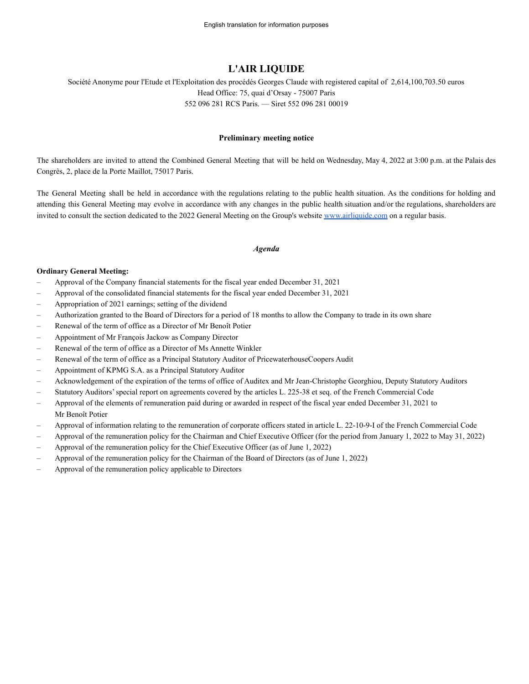# **L'AIR LIQUIDE**

Société Anonyme pour l'Etude et l'Exploitation des procédés Georges Claude with registered capital of 2,614,100,703.50 euros Head Office: 75, quai d'Orsay - 75007 Paris 552 096 281 RCS Paris. — Siret 552 096 281 00019

### **Preliminary meeting notice**

The shareholders are invited to attend the Combined General Meeting that will be held on Wednesday, May 4, 2022 at 3:00 p.m. at the Palais des Congrès, 2, place de la Porte Maillot, 75017 Paris.

The General Meeting shall be held in accordance with the regulations relating to the public health situation. As the conditions for holding and attending this General Meeting may evolve in accordance with any changes in the public health situation and/or the regulations, shareholders are invited to consult the section dedicated to the 2022 General Meeting on the Group's website [www.airliquide.com](http://www.airliquide.com) on a regular basis.

#### *Agenda*

#### **Ordinary General Meeting:**

- Approval of the Company financial statements for the fiscal year ended December 31, 2021
- Approval of the consolidated financial statements for the fiscal year ended December 31, 2021
- Appropriation of 2021 earnings; setting of the dividend
- Authorization granted to the Board of Directors for a period of 18 months to allow the Company to trade in its own share
- Renewal of the term of office as a Director of Mr Benoît Potier
- Appointment of Mr François Jackow as Company Director
- Renewal of the term of office as a Director of Ms Annette Winkler
- Renewal of the term of office as a Principal Statutory Auditor of PricewaterhouseCoopers Audit
- Appointment of KPMG S.A. as a Principal Statutory Auditor
- Acknowledgement of the expiration of the terms of office of Auditex and Mr Jean-Christophe Georghiou, Deputy Statutory Auditors
- Statutory Auditors' special report on agreements covered by the articles L. 225-38 et seq. of the French Commercial Code
- Approval of the elements of remuneration paid during or awarded in respect of the fiscal year ended December 31, 2021 to Mr Benoît Potier
- Approval of information relating to the remuneration of corporate officers stated in article L. 22-10-9-I of the French Commercial Code
- Approval of the remuneration policy for the Chairman and Chief Executive Officer (for the period from January 1, 2022 to May 31, 2022)
- Approval of the remuneration policy for the Chief Executive Officer (as of June 1, 2022)
- Approval of the remuneration policy for the Chairman of the Board of Directors (as of June 1, 2022)
- Approval of the remuneration policy applicable to Directors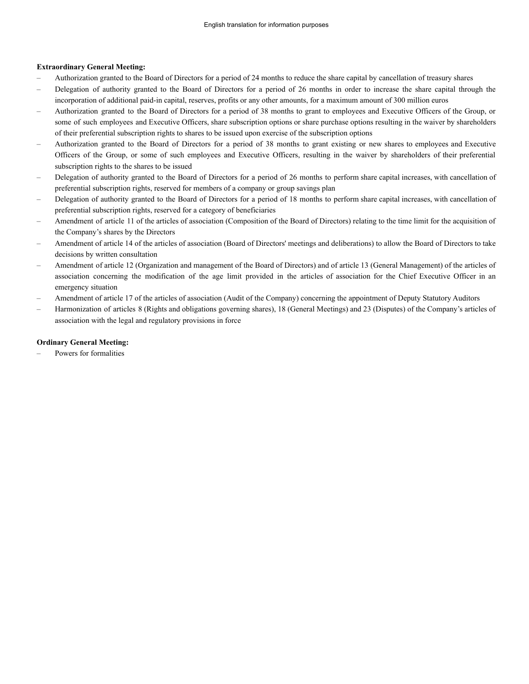### **Extraordinary General Meeting:**

- Authorization granted to the Board of Directors for a period of 24 months to reduce the share capital by cancellation of treasury shares
- Delegation of authority granted to the Board of Directors for a period of 26 months in order to increase the share capital through the incorporation of additional paid-in capital, reserves, profits or any other amounts, for a maximum amount of 300 million euros
- Authorization granted to the Board of Directors for a period of 38 months to grant to employees and Executive Officers of the Group, or some of such employees and Executive Officers, share subscription options or share purchase options resulting in the waiver by shareholders of their preferential subscription rights to shares to be issued upon exercise of the subscription options
- Authorization granted to the Board of Directors for a period of 38 months to grant existing or new shares to employees and Executive Officers of the Group, or some of such employees and Executive Officers, resulting in the waiver by shareholders of their preferential subscription rights to the shares to be issued
- Delegation of authority granted to the Board of Directors for a period of 26 months to perform share capital increases, with cancellation of preferential subscription rights, reserved for members of a company or group savings plan
- Delegation of authority granted to the Board of Directors for a period of 18 months to perform share capital increases, with cancellation of preferential subscription rights, reserved for a category of beneficiaries
- Amendment of article 11 of the articles of association (Composition of the Board of Directors) relating to the time limit for the acquisition of the Company's shares by the Directors
- Amendment of article 14 of the articles of association (Board of Directors' meetings and deliberations) to allow the Board of Directors to take decisions by written consultation
- Amendment of article 12 (Organization and management of the Board of Directors) and of article 13 (General Management) of the articles of association concerning the modification of the age limit provided in the articles of association for the Chief Executive Officer in an emergency situation
- Amendment of article 17 of the articles of association (Audit of the Company) concerning the appointment of Deputy Statutory Auditors
- Harmonization of articles 8 (Rights and obligations governing shares), 18 (General Meetings) and 23 (Disputes) of the Company's articles of association with the legal and regulatory provisions in force

### **Ordinary General Meeting:**

– Powers for formalities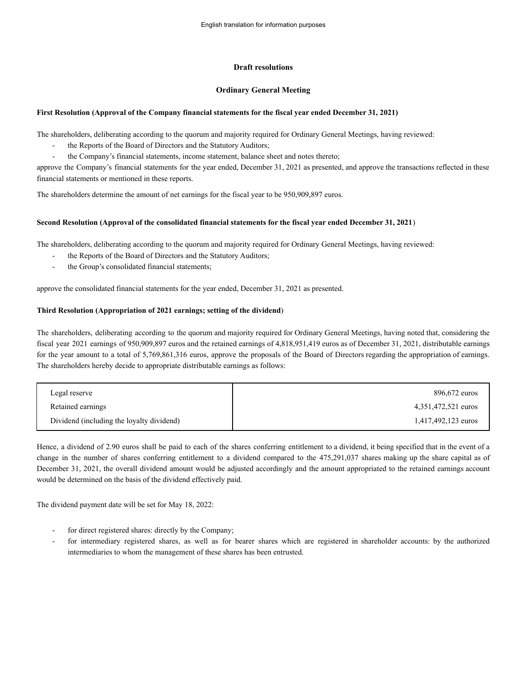### **Draft resolutions**

### **Ordinary General Meeting**

### **First Resolution (Approval of the Company financial statements for the fiscal year ended December 31, 2021)**

The shareholders, deliberating according to the quorum and majority required for Ordinary General Meetings, having reviewed:

- the Reports of the Board of Directors and the Statutory Auditors;
- the Company's financial statements, income statement, balance sheet and notes thereto;

approve the Company's financial statements for the year ended, December 31, 2021 as presented, and approve the transactions reflected in these financial statements or mentioned in these reports.

The shareholders determine the amount of net earnings for the fiscal year to be 950,909,897 euros.

### **Second Resolution (Approval of the consolidated financial statements for the fiscal year ended December 31, 2021**)

The shareholders, deliberating according to the quorum and majority required for Ordinary General Meetings, having reviewed:

- the Reports of the Board of Directors and the Statutory Auditors;
- the Group's consolidated financial statements;

approve the consolidated financial statements for the year ended, December 31, 2021 as presented.

### **Third Resolution (Appropriation of 2021 earnings; setting of the dividend**)

The shareholders, deliberating according to the quorum and majority required for Ordinary General Meetings, having noted that, considering the fiscal year 2021 earnings of 950,909,897 euros and the retained earnings of 4,818,951,419 euros as of December 31, 2021, distributable earnings for the year amount to a total of 5,769,861,316 euros, approve the proposals of the Board of Directors regarding the appropriation of earnings. The shareholders hereby decide to appropriate distributable earnings as follows:

| Legal reserve                             | 896,672 euros       |
|-------------------------------------------|---------------------|
| Retained earnings                         | 4,351,472,521 euros |
| Dividend (including the loyalty dividend) | 1,417,492,123 euros |

Hence, a dividend of 2.90 euros shall be paid to each of the shares conferring entitlement to a dividend, it being specified that in the event of a change in the number of shares conferring entitlement to a dividend compared to the 475,291,037 shares making up the share capital as of December 31, 2021, the overall dividend amount would be adjusted accordingly and the amount appropriated to the retained earnings account would be determined on the basis of the dividend effectively paid.

The dividend payment date will be set for May 18, 2022:

- for direct registered shares: directly by the Company;
- for intermediary registered shares, as well as for bearer shares which are registered in shareholder accounts: by the authorized intermediaries to whom the management of these shares has been entrusted.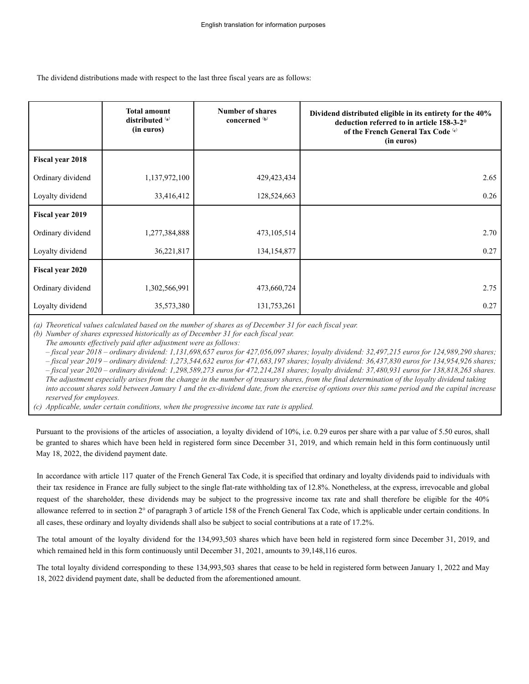The dividend distributions made with respect to the last three fiscal years are as follows:

|                         | <b>Total amount</b><br>distributed (a)<br>(in euros) | <b>Number of shares</b><br>concerned (b) | Dividend distributed eligible in its entirety for the 40%<br>deduction referred to in article 158-3-2°<br>of the French General Tax Code (c)<br>(in euros) |
|-------------------------|------------------------------------------------------|------------------------------------------|------------------------------------------------------------------------------------------------------------------------------------------------------------|
| <b>Fiscal year 2018</b> |                                                      |                                          |                                                                                                                                                            |
| Ordinary dividend       | 1,137,972,100                                        | 429, 423, 434                            | 2.65                                                                                                                                                       |
| Loyalty dividend        | 33,416,412                                           | 128,524,663                              | 0.26                                                                                                                                                       |
| Fiscal year 2019        |                                                      |                                          |                                                                                                                                                            |
| Ordinary dividend       | 1,277,384,888                                        | 473, 105, 514                            | 2.70                                                                                                                                                       |
| Loyalty dividend        | 36,221,817                                           | 134, 154, 877                            | 0.27                                                                                                                                                       |
| Fiscal year 2020        |                                                      |                                          |                                                                                                                                                            |
| Ordinary dividend       | 1,302,566,991                                        | 473,660,724                              | 2.75                                                                                                                                                       |
| Loyalty dividend        | 35,573,380                                           | 131,753,261                              | 0.27                                                                                                                                                       |

*(a) Theoretical values calculated based on the number of shares as of December 31 for each fiscal year.*

*(b) Number of shares expressed historically as of December 31 for each fiscal year.*

*The amounts effectively paid after adjustment were as follows:*

*– fiscal year 2018 – ordinary dividend: 1,131,698,657 euros for 427,056,097 shares; loyalty dividend: 32,497,215 euros for 124,989,290 shares; – fiscal year 2019 – ordinary dividend: 1,273,544,632 euros for 471,683,197 shares; loyalty dividend: 36,437,830 euros for 134,954,926 shares; – fiscal year 2020 – ordinary dividend: 1,298,589,273 euros for 472,214,281 shares; loyalty dividend: 37,480,931 euros for 138,818,263 shares. The adjustment especially arises from the change in the number of treasury shares, from the final determination of the loyalty dividend taking into account shares sold between January 1 and the ex-dividend date, from the exercise of options over this same period and the capital increase reserved for employees.*

*(c) Applicable, under certain conditions, when the progressive income tax rate is applied.*

Pursuant to the provisions of the articles of association, a loyalty dividend of 10%, i.e. 0.29 euros per share with a par value of 5.50 euros, shall be granted to shares which have been held in registered form since December 31, 2019, and which remain held in this form continuously until May 18, 2022, the dividend payment date.

In accordance with article 117 quater of the French General Tax Code, it is specified that ordinary and loyalty dividends paid to individuals with their tax residence in France are fully subject to the single flat-rate withholding tax of 12.8%. Nonetheless, at the express, irrevocable and global request of the shareholder, these dividends may be subject to the progressive income tax rate and shall therefore be eligible for the 40% allowance referred to in section 2° of paragraph 3 of article 158 of the French General Tax Code, which is applicable under certain conditions. In all cases, these ordinary and loyalty dividends shall also be subject to social contributions at a rate of 17.2%.

The total amount of the loyalty dividend for the 134,993,503 shares which have been held in registered form since December 31, 2019, and which remained held in this form continuously until December 31, 2021, amounts to 39,148,116 euros.

The total loyalty dividend corresponding to these 134,993,503 shares that cease to be held in registered form between January 1, 2022 and May 18, 2022 dividend payment date, shall be deducted from the aforementioned amount.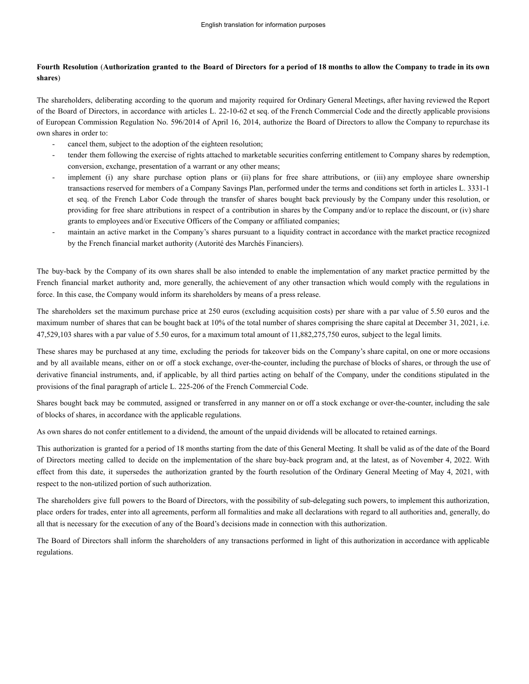## Fourth Resolution (Authorization granted to the Board of Directors for a period of 18 months to allow the Company to trade in its own **shares**)

The shareholders, deliberating according to the quorum and majority required for Ordinary General Meetings, after having reviewed the Report of the Board of Directors, in accordance with articles L. 22-10-62 et seq. of the French Commercial Code and the directly applicable provisions of European Commission Regulation No. 596/2014 of April 16, 2014, authorize the Board of Directors to allow the Company to repurchase its own shares in order to:

- cancel them, subject to the adoption of the eighteen resolution;
- tender them following the exercise of rights attached to marketable securities conferring entitlement to Company shares by redemption, conversion, exchange, presentation of a warrant or any other means;
- implement (i) any share purchase option plans or (ii) plans for free share attributions, or (iii) any employee share ownership transactions reserved for members of a Company Savings Plan, performed under the terms and conditions set forth in articles L. 3331-1 et seq. of the French Labor Code through the transfer of shares bought back previously by the Company under this resolution, or providing for free share attributions in respect of a contribution in shares by the Company and/or to replace the discount, or (iv) share grants to employees and/or Executive Officers of the Company or affiliated companies;
- maintain an active market in the Company's shares pursuant to a liquidity contract in accordance with the market practice recognized by the French financial market authority (Autorité des Marchés Financiers).

The buy-back by the Company of its own shares shall be also intended to enable the implementation of any market practice permitted by the French financial market authority and, more generally, the achievement of any other transaction which would comply with the regulations in force. In this case, the Company would inform its shareholders by means of a press release.

The shareholders set the maximum purchase price at 250 euros (excluding acquisition costs) per share with a par value of 5.50 euros and the maximum number of shares that can be bought back at 10% of the total number of shares comprising the share capital at December 31, 2021, i.e. 47,529,103 shares with a par value of 5.50 euros, for a maximum total amount of 11,882,275,750 euros, subject to the legal limits.

These shares may be purchased at any time, excluding the periods for takeover bids on the Company's share capital, on one or more occasions and by all available means, either on or off a stock exchange, over-the-counter, including the purchase of blocks of shares, or through the use of derivative financial instruments, and, if applicable, by all third parties acting on behalf of the Company, under the conditions stipulated in the provisions of the final paragraph of article L. 225-206 of the French Commercial Code.

Shares bought back may be commuted, assigned or transferred in any manner on or off a stock exchange or over-the-counter, including the sale of blocks of shares, in accordance with the applicable regulations.

As own shares do not confer entitlement to a dividend, the amount of the unpaid dividends will be allocated to retained earnings.

This authorization is granted for a period of 18 months starting from the date of this General Meeting. It shall be valid as of the date of the Board of Directors meeting called to decide on the implementation of the share buy-back program and, at the latest, as of November 4, 2022. With effect from this date, it supersedes the authorization granted by the fourth resolution of the Ordinary General Meeting of May 4, 2021, with respect to the non-utilized portion of such authorization.

The shareholders give full powers to the Board of Directors, with the possibility of sub-delegating such powers, to implement this authorization, place orders for trades, enter into all agreements, perform all formalities and make all declarations with regard to all authorities and, generally, do all that is necessary for the execution of any of the Board's decisions made in connection with this authorization.

The Board of Directors shall inform the shareholders of any transactions performed in light of this authorization in accordance with applicable regulations.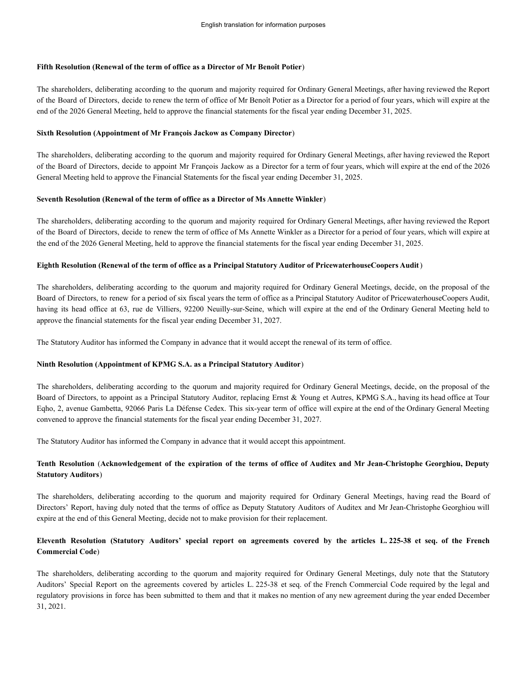# **Fifth Resolution (Renewal of the term of office as a Director of Mr Benoît Potier**)

The shareholders, deliberating according to the quorum and majority required for Ordinary General Meetings, after having reviewed the Report of the Board of Directors, decide to renew the term of office of Mr Benoît Potier as a Director for a period of four years, which will expire at the end of the 2026 General Meeting, held to approve the financial statements for the fiscal year ending December 31, 2025.

# **Sixth Resolution (Appointment of Mr François Jackow as Company Director**)

The shareholders, deliberating according to the quorum and majority required for Ordinary General Meetings, after having reviewed the Report of the Board of Directors, decide to appoint Mr François Jackow as a Director for a term of four years, which will expire at the end of the 2026 General Meeting held to approve the Financial Statements for the fiscal year ending December 31, 2025.

# **Seventh Resolution (Renewal of the term of office as a Director of Ms Annette Winkler**)

The shareholders, deliberating according to the quorum and majority required for Ordinary General Meetings, after having reviewed the Report of the Board of Directors, decide to renew the term of office of Ms Annette Winkler as a Director for a period of four years, which will expire at the end of the 2026 General Meeting, held to approve the financial statements for the fiscal year ending December 31, 2025.

# **Eighth Resolution (Renewal of the term of office as a Principal Statutory Auditor of PricewaterhouseCoopers Audit**)

The shareholders, deliberating according to the quorum and majority required for Ordinary General Meetings, decide, on the proposal of the Board of Directors, to renew for a period of six fiscal years the term of office as a Principal Statutory Auditor of PricewaterhouseCoopers Audit, having its head office at 63, rue de Villiers, 92200 Neuilly-sur-Seine, which will expire at the end of the Ordinary General Meeting held to approve the financial statements for the fiscal year ending December 31, 2027.

The Statutory Auditor has informed the Company in advance that it would accept the renewal of its term of office.

# **Ninth Resolution (Appointment of KPMG S.A. as a Principal Statutory Auditor**)

The shareholders, deliberating according to the quorum and majority required for Ordinary General Meetings, decide, on the proposal of the Board of Directors, to appoint as a Principal Statutory Auditor, replacing Ernst & Young et Autres, KPMG S.A., having its head office at Tour Eqho, 2, avenue Gambetta, 92066 Paris La Défense Cedex. This six-year term of office will expire at the end of the Ordinary General Meeting convened to approve the financial statements for the fiscal year ending December 31, 2027.

The Statutory Auditor has informed the Company in advance that it would accept this appointment.

# Tenth Resolution (Acknowledgement of the expiration of the terms of office of Auditex and Mr Jean-Christophe Georghiou, Deputy **Statutory Auditors**)

The shareholders, deliberating according to the quorum and majority required for Ordinary General Meetings, having read the Board of Directors' Report, having duly noted that the terms of office as Deputy Statutory Auditors of Auditex and Mr Jean-Christophe Georghiou will expire at the end of this General Meeting, decide not to make provision for their replacement.

# Eleventh Resolution (Statutory Auditors' special report on agreements covered by the articles L. 225-38 et seq. of the French **Commercial Code**)

The shareholders, deliberating according to the quorum and majority required for Ordinary General Meetings, duly note that the Statutory Auditors' Special Report on the agreements covered by articles L. 225-38 et seq. of the French Commercial Code required by the legal and regulatory provisions in force has been submitted to them and that it makes no mention of any new agreement during the year ended December 31, 2021.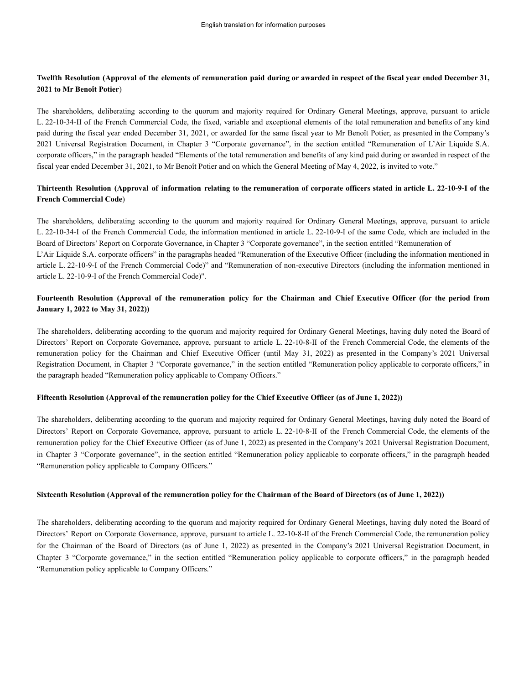## Twelfth Resolution (Approval of the elements of remuneration paid during or awarded in respect of the fiscal year ended December 31, **2021 to Mr Benoît Potier**)

The shareholders, deliberating according to the quorum and majority required for Ordinary General Meetings, approve, pursuant to article L. 22-10-34-II of the French Commercial Code, the fixed, variable and exceptional elements of the total remuneration and benefits of any kind paid during the fiscal year ended December 31, 2021, or awarded for the same fiscal year to Mr Benoît Potier, as presented in the Company's 2021 Universal Registration Document, in Chapter 3 "Corporate governance", in the section entitled "Remuneration of L'Air Liquide S.A. corporate officers," in the paragraph headed "Elements of the total remuneration and benefits of any kind paid during or awarded in respect of the fiscal year ended December 31, 2021, to Mr Benoît Potier and on which the General Meeting of May 4, 2022, is invited to vote."

## Thirteenth Resolution (Approval of information relating to the remuneration of corporate officers stated in article L. 22-10-9-I of the **French Commercial Code**)

The shareholders, deliberating according to the quorum and majority required for Ordinary General Meetings, approve, pursuant to article L. 22-10-34-I of the French Commercial Code, the information mentioned in article L. 22-10-9-I of the same Code, which are included in the Board of Directors' Report on Corporate Governance, in Chapter 3 "Corporate governance", in the section entitled "Remuneration of L'Air Liquide S.A. corporate officers" in the paragraphs headed "Remuneration of the Executive Officer (including the information mentioned in article L. 22-10-9-I of the French Commercial Code)" and "Remuneration of non-executive Directors (including the information mentioned in article L. 22-10-9-I of the French Commercial Code)".

## Fourteenth Resolution (Approval of the remuneration policy for the Chairman and Chief Executive Officer (for the period from **January 1, 2022 to May 31, 2022))**

The shareholders, deliberating according to the quorum and majority required for Ordinary General Meetings, having duly noted the Board of Directors' Report on Corporate Governance, approve, pursuant to article L. 22-10-8-II of the French Commercial Code, the elements of the remuneration policy for the Chairman and Chief Executive Officer (until May 31, 2022) as presented in the Company's 2021 Universal Registration Document, in Chapter 3 "Corporate governance," in the section entitled "Remuneration policy applicable to corporate officers," in the paragraph headed "Remuneration policy applicable to Company Officers."

### **Fifteenth Resolution (Approval of the remuneration policy for the Chief Executive Officer (as of June 1, 2022))**

The shareholders, deliberating according to the quorum and majority required for Ordinary General Meetings, having duly noted the Board of Directors' Report on Corporate Governance, approve, pursuant to article L. 22-10-8-II of the French Commercial Code, the elements of the remuneration policy for the Chief Executive Officer (as of June 1, 2022) as presented in the Company's 2021 Universal Registration Document, in Chapter 3 "Corporate governance", in the section entitled "Remuneration policy applicable to corporate officers," in the paragraph headed "Remuneration policy applicable to Company Officers."

### **Sixteenth Resolution (Approval of the remuneration policy for the Chairman of the Board of Directors (as of June 1, 2022))**

The shareholders, deliberating according to the quorum and majority required for Ordinary General Meetings, having duly noted the Board of Directors' Report on Corporate Governance, approve, pursuant to article L. 22-10-8-II of the French Commercial Code, the remuneration policy for the Chairman of the Board of Directors (as of June 1, 2022) as presented in the Company's 2021 Universal Registration Document, in Chapter 3 "Corporate governance," in the section entitled "Remuneration policy applicable to corporate officers," in the paragraph headed "Remuneration policy applicable to Company Officers."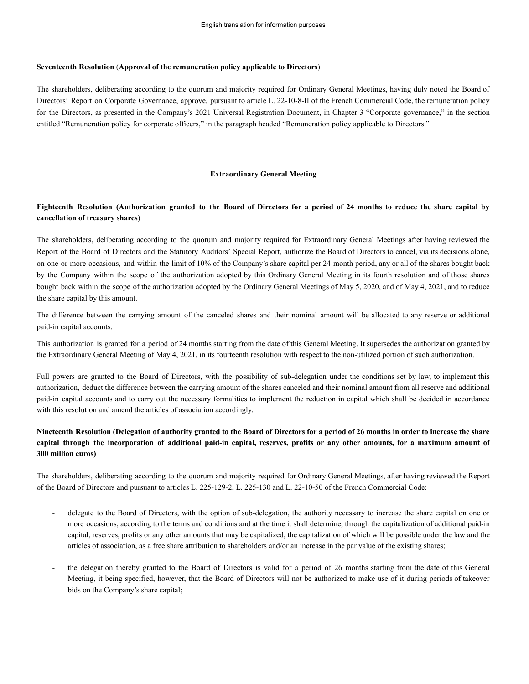#### **Seventeenth Resolution** (**Approval of the remuneration policy applicable to Directors**)

The shareholders, deliberating according to the quorum and majority required for Ordinary General Meetings, having duly noted the Board of Directors' Report on Corporate Governance, approve, pursuant to article L. 22-10-8-II of the French Commercial Code, the remuneration policy for the Directors, as presented in the Company's 2021 Universal Registration Document, in Chapter 3 "Corporate governance," in the section entitled "Remuneration policy for corporate officers," in the paragraph headed "Remuneration policy applicable to Directors."

#### **Extraordinary General Meeting**

### Eighteenth Resolution (Authorization granted to the Board of Directors for a period of 24 months to reduce the share capital by **cancellation of treasury shares**)

The shareholders, deliberating according to the quorum and majority required for Extraordinary General Meetings after having reviewed the Report of the Board of Directors and the Statutory Auditors' Special Report, authorize the Board of Directors to cancel, via its decisions alone, on one or more occasions, and within the limit of 10% of the Company's share capital per 24-month period, any or all of the shares bought back by the Company within the scope of the authorization adopted by this Ordinary General Meeting in its fourth resolution and of those shares bought back within the scope of the authorization adopted by the Ordinary General Meetings of May 5, 2020, and of May 4, 2021, and to reduce the share capital by this amount.

The difference between the carrying amount of the canceled shares and their nominal amount will be allocated to any reserve or additional paid-in capital accounts.

This authorization is granted for a period of 24 months starting from the date of this General Meeting. It supersedes the authorization granted by the Extraordinary General Meeting of May 4, 2021, in its fourteenth resolution with respect to the non-utilized portion of such authorization.

Full powers are granted to the Board of Directors, with the possibility of sub-delegation under the conditions set by law, to implement this authorization, deduct the difference between the carrying amount of the shares canceled and their nominal amount from all reserve and additional paid-in capital accounts and to carry out the necessary formalities to implement the reduction in capital which shall be decided in accordance with this resolution and amend the articles of association accordingly.

## Nineteenth Resolution (Delegation of authority granted to the Board of Directors for a period of 26 months in order to increase the share capital through the incorporation of additional paid-in capital, reserves, profits or any other amounts, for a maximum amount of **300 million euros)**

The shareholders, deliberating according to the quorum and majority required for Ordinary General Meetings, after having reviewed the Report of the Board of Directors and pursuant to articles L. 225-129-2, L. 225-130 and L. 22-10-50 of the French Commercial Code:

- delegate to the Board of Directors, with the option of sub-delegation, the authority necessary to increase the share capital on one or more occasions, according to the terms and conditions and at the time it shall determine, through the capitalization of additional paid-in capital, reserves, profits or any other amounts that may be capitalized, the capitalization of which will be possible under the law and the articles of association, as a free share attribution to shareholders and/or an increase in the par value of the existing shares;
- the delegation thereby granted to the Board of Directors is valid for a period of 26 months starting from the date of this General Meeting, it being specified, however, that the Board of Directors will not be authorized to make use of it during periods of takeover bids on the Company's share capital;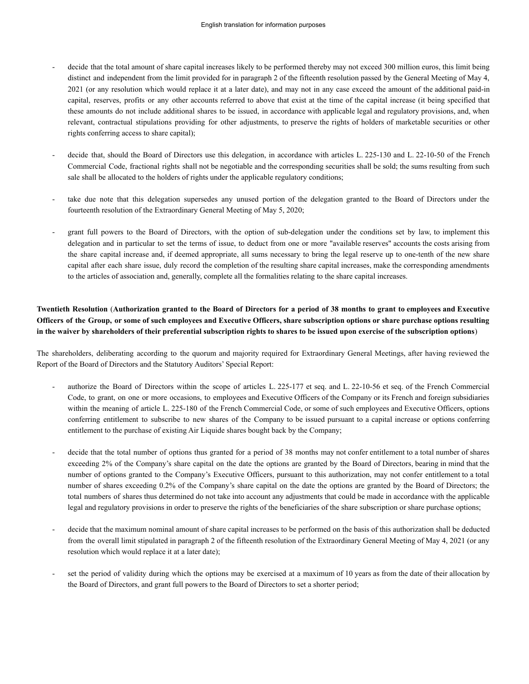- decide that the total amount of share capital increases likely to be performed thereby may not exceed 300 million euros, this limit being distinct and independent from the limit provided for in paragraph 2 of the fifteenth resolution passed by the General Meeting of May 4, 2021 (or any resolution which would replace it at a later date), and may not in any case exceed the amount of the additional paid-in capital, reserves, profits or any other accounts referred to above that exist at the time of the capital increase (it being specified that these amounts do not include additional shares to be issued, in accordance with applicable legal and regulatory provisions, and, when relevant, contractual stipulations providing for other adjustments, to preserve the rights of holders of marketable securities or other rights conferring access to share capital);
- decide that, should the Board of Directors use this delegation, in accordance with articles L. 225-130 and L. 22-10-50 of the French Commercial Code, fractional rights shall not be negotiable and the corresponding securities shall be sold; the sums resulting from such sale shall be allocated to the holders of rights under the applicable regulatory conditions;
- take due note that this delegation supersedes any unused portion of the delegation granted to the Board of Directors under the fourteenth resolution of the Extraordinary General Meeting of May 5, 2020;
- grant full powers to the Board of Directors, with the option of sub-delegation under the conditions set by law, to implement this delegation and in particular to set the terms of issue, to deduct from one or more "available reserves" accounts the costs arising from the share capital increase and, if deemed appropriate, all sums necessary to bring the legal reserve up to one-tenth of the new share capital after each share issue, duly record the completion of the resulting share capital increases, make the corresponding amendments to the articles of association and, generally, complete all the formalities relating to the share capital increases.

# Twentieth Resolution (Authorization granted to the Board of Directors for a period of 38 months to grant to employees and Executive Officers of the Group, or some of such employees and Executive Officers, share subscription options or share purchase options resulting **in the waiver by shareholders of their preferential subscription rights to shares to be issued upon exercise of the subscription options**)

The shareholders, deliberating according to the quorum and majority required for Extraordinary General Meetings, after having reviewed the Report of the Board of Directors and the Statutory Auditors' Special Report:

- authorize the Board of Directors within the scope of articles L. 225-177 et seq. and L. 22-10-56 et seq. of the French Commercial Code, to grant, on one or more occasions, to employees and Executive Officers of the Company or its French and foreign subsidiaries within the meaning of article L. 225-180 of the French Commercial Code, or some of such employees and Executive Officers, options conferring entitlement to subscribe to new shares of the Company to be issued pursuant to a capital increase or options conferring entitlement to the purchase of existing Air Liquide shares bought back by the Company;
- decide that the total number of options thus granted for a period of 38 months may not confer entitlement to a total number of shares exceeding 2% of the Company's share capital on the date the options are granted by the Board of Directors, bearing in mind that the number of options granted to the Company's Executive Officers, pursuant to this authorization, may not confer entitlement to a total number of shares exceeding 0.2% of the Company's share capital on the date the options are granted by the Board of Directors; the total numbers of shares thus determined do not take into account any adjustments that could be made in accordance with the applicable legal and regulatory provisions in order to preserve the rights of the beneficiaries of the share subscription or share purchase options;
- decide that the maximum nominal amount of share capital increases to be performed on the basis of this authorization shall be deducted from the overall limit stipulated in paragraph 2 of the fifteenth resolution of the Extraordinary General Meeting of May 4, 2021 (or any resolution which would replace it at a later date);
- set the period of validity during which the options may be exercised at a maximum of 10 years as from the date of their allocation by the Board of Directors, and grant full powers to the Board of Directors to set a shorter period;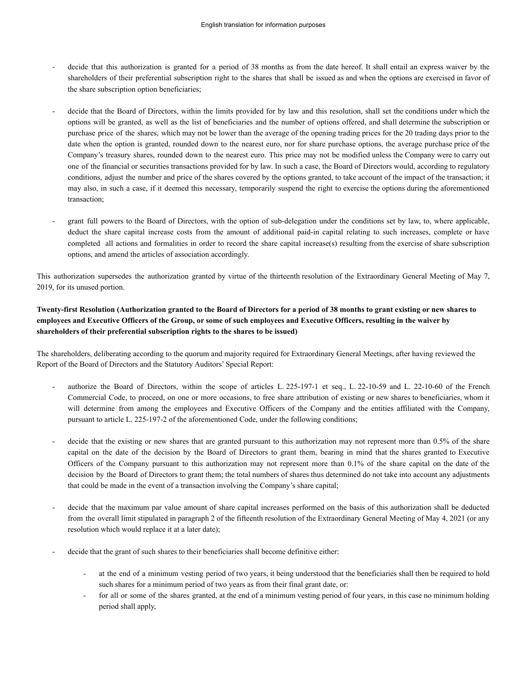- decide that this authorization is granted for a period of 38 months as from the date hereof. It shall entail an express waiver by the shareholders of their preferential subscription right to the shares that shall be issued as and when the options are exercised in favor of the share subscription option beneficiaries;
- decide that the Board of Directors, within the limits provided for by law and this resolution, shall set the conditions under which the options will be granted, as well as the list of beneficiaries and the number of options offered, and shall determine the subscription or purchase price of the shares, which may not be lower than the average of the opening trading prices for the 20 trading days prior to the date when the option is granted, rounded down to the nearest euro, nor for share purchase options, the average purchase price of the Company's treasury shares, rounded down to the nearest euro. This price may not be modified unless the Company were to carry out one of the financial or securities transactions provided for by law. In such a case, the Board of Directors would, according to regulatory conditions, adjust the number and price of the shares covered by the options granted, to take account of the impact of the transaction; it may also, in such a case, if it deemed this necessary, temporarily suspend the right to exercise the options during the aforementioned transaction;
- grant full powers to the Board of Directors, with the option of sub-delegation under the conditions set by law, to, where applicable, deduct the share capital increase costs from the amount of additional paid-in capital relating to such increases, complete or have completed all actions and formalities in order to record the share capital increase(s) resulting from the exercise of share subscription options, and amend the articles of association accordingly.

This authorization supersedes the authorization granted by virtue of the thirteenth resolution of the Extraordinary General Meeting of May 7, 2019, for its unused portion.

# **Twenty-first Resolution (Authorization granted to the Board of Directors for a period of 38 months to grant existing or new shares to employees and Executive Officers of the Group, or some of such employees and Executive Officers, resulting in the waiver by shareholders of their preferential subscription rights to the shares to be issued)**

The shareholders, deliberating according to the quorum and majority required for Extraordinary General Meetings, after having reviewed the Report of the Board of Directors and the Statutory Auditors' Special Report:

- authorize the Board of Directors, within the scope of articles L. 225-197-1 et seq., L. 22-10-59 and L. 22-10-60 of the French Commercial Code, to proceed, on one or more occasions, to free share attribution of existing or new shares to beneficiaries, whom it will determine from among the employees and Executive Officers of the Company and the entities affiliated with the Company, pursuant to article L. 225-197-2 of the aforementioned Code, under the following conditions;
- decide that the existing or new shares that are granted pursuant to this authorization may not represent more than 0.5% of the share capital on the date of the decision by the Board of Directors to grant them, bearing in mind that the shares granted to Executive Officers of the Company pursuant to this authorization may not represent more than 0.1% of the share capital on the date of the decision by the Board of Directors to grant them; the total numbers of shares thus determined do not take into account any adjustments that could be made in the event of a transaction involving the Company's share capital;
- decide that the maximum par value amount of share capital increases performed on the basis of this authorization shall be deducted from the overall limit stipulated in paragraph 2 of the fifteenth resolution of the Extraordinary General Meeting of May 4, 2021 (or any resolution which would replace it at a later date);
- decide that the grant of such shares to their beneficiaries shall become definitive either:
	- at the end of a minimum vesting period of two years, it being understood that the beneficiaries shall then be required to hold such shares for a minimum period of two years as from their final grant date, or:
	- for all or some of the shares granted, at the end of a minimum vesting period of four years, in this case no minimum holding period shall apply,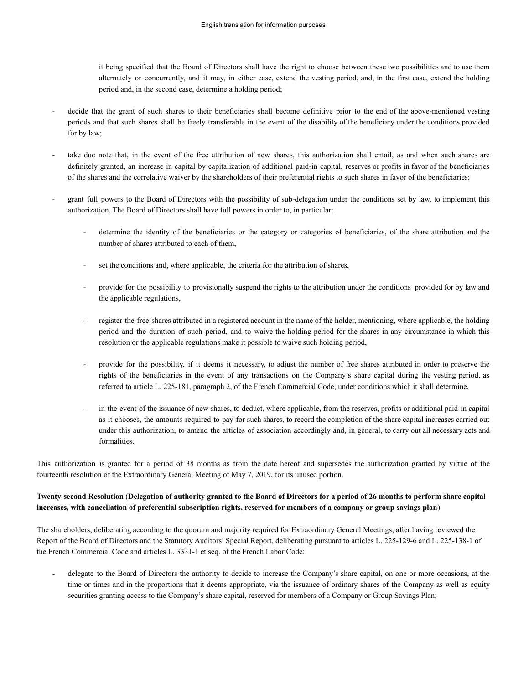it being specified that the Board of Directors shall have the right to choose between these two possibilities and to use them alternately or concurrently, and it may, in either case, extend the vesting period, and, in the first case, extend the holding period and, in the second case, determine a holding period;

- decide that the grant of such shares to their beneficiaries shall become definitive prior to the end of the above-mentioned vesting periods and that such shares shall be freely transferable in the event of the disability of the beneficiary under the conditions provided for by law;
- take due note that, in the event of the free attribution of new shares, this authorization shall entail, as and when such shares are definitely granted, an increase in capital by capitalization of additional paid-in capital, reserves or profits in favor of the beneficiaries of the shares and the correlative waiver by the shareholders of their preferential rights to such shares in favor of the beneficiaries;
- grant full powers to the Board of Directors with the possibility of sub-delegation under the conditions set by law, to implement this authorization. The Board of Directors shall have full powers in order to, in particular:
	- determine the identity of the beneficiaries or the category or categories of beneficiaries, of the share attribution and the number of shares attributed to each of them,
	- set the conditions and, where applicable, the criteria for the attribution of shares,
	- provide for the possibility to provisionally suspend the rights to the attribution under the conditions provided for by law and the applicable regulations,
	- register the free shares attributed in a registered account in the name of the holder, mentioning, where applicable, the holding period and the duration of such period, and to waive the holding period for the shares in any circumstance in which this resolution or the applicable regulations make it possible to waive such holding period,
	- provide for the possibility, if it deems it necessary, to adjust the number of free shares attributed in order to preserve the rights of the beneficiaries in the event of any transactions on the Company's share capital during the vesting period, as referred to article L. 225-181, paragraph 2, of the French Commercial Code, under conditions which it shall determine,
	- in the event of the issuance of new shares, to deduct, where applicable, from the reserves, profits or additional paid-in capital as it chooses, the amounts required to pay for such shares, to record the completion of the share capital increases carried out under this authorization, to amend the articles of association accordingly and, in general, to carry out all necessary acts and formalities.

This authorization is granted for a period of 38 months as from the date hereof and supersedes the authorization granted by virtue of the fourteenth resolution of the Extraordinary General Meeting of May 7, 2019, for its unused portion.

## **Twenty-second Resolution** (**Delegation of authority granted to the Board of Directors for a period of 26 months to perform share capital increases, with cancellation of preferential subscription rights, reserved for members of a company or group savings plan**)

The shareholders, deliberating according to the quorum and majority required for Extraordinary General Meetings, after having reviewed the Report of the Board of Directors and the Statutory Auditors' Special Report, deliberating pursuant to articles L. 225-129-6 and L. 225-138-1 of the French Commercial Code and articles L. 3331-1 et seq. of the French Labor Code:

delegate to the Board of Directors the authority to decide to increase the Company's share capital, on one or more occasions, at the time or times and in the proportions that it deems appropriate, via the issuance of ordinary shares of the Company as well as equity securities granting access to the Company's share capital, reserved for members of a Company or Group Savings Plan;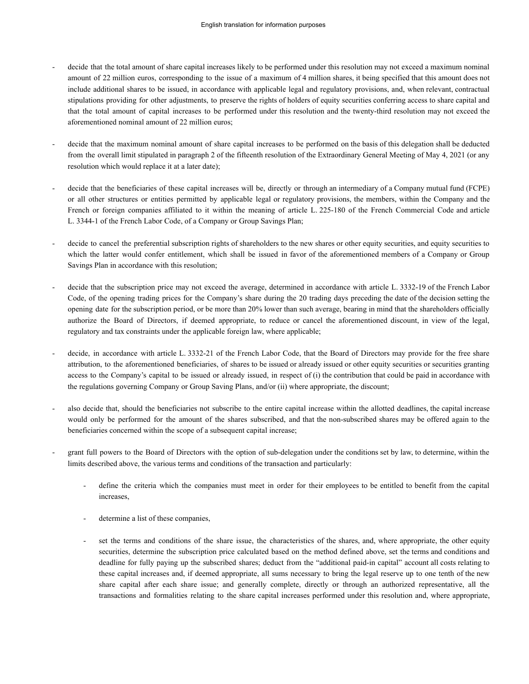- decide that the total amount of share capital increases likely to be performed under this resolution may not exceed a maximum nominal amount of 22 million euros, corresponding to the issue of a maximum of 4 million shares, it being specified that this amount does not include additional shares to be issued, in accordance with applicable legal and regulatory provisions, and, when relevant, contractual stipulations providing for other adjustments, to preserve the rights of holders of equity securities conferring access to share capital and that the total amount of capital increases to be performed under this resolution and the twenty-third resolution may not exceed the aforementioned nominal amount of 22 million euros;
- decide that the maximum nominal amount of share capital increases to be performed on the basis of this delegation shall be deducted from the overall limit stipulated in paragraph 2 of the fifteenth resolution of the Extraordinary General Meeting of May 4, 2021 (or any resolution which would replace it at a later date);
- decide that the beneficiaries of these capital increases will be, directly or through an intermediary of a Company mutual fund (FCPE) or all other structures or entities permitted by applicable legal or regulatory provisions, the members, within the Company and the French or foreign companies affiliated to it within the meaning of article L. 225-180 of the French Commercial Code and article L. 3344-1 of the French Labor Code, of a Company or Group Savings Plan;
- decide to cancel the preferential subscription rights of shareholders to the new shares or other equity securities, and equity securities to which the latter would confer entitlement, which shall be issued in favor of the aforementioned members of a Company or Group Savings Plan in accordance with this resolution;
- decide that the subscription price may not exceed the average, determined in accordance with article L. 3332-19 of the French Labor Code, of the opening trading prices for the Company's share during the 20 trading days preceding the date of the decision setting the opening date for the subscription period, or be more than 20% lower than such average, bearing in mind that the shareholders officially authorize the Board of Directors, if deemed appropriate, to reduce or cancel the aforementioned discount, in view of the legal, regulatory and tax constraints under the applicable foreign law, where applicable;
- decide, in accordance with article L. 3332-21 of the French Labor Code, that the Board of Directors may provide for the free share attribution, to the aforementioned beneficiaries, of shares to be issued or already issued or other equity securities or securities granting access to the Company's capital to be issued or already issued, in respect of (i) the contribution that could be paid in accordance with the regulations governing Company or Group Saving Plans, and/or (ii) where appropriate, the discount;
- also decide that, should the beneficiaries not subscribe to the entire capital increase within the allotted deadlines, the capital increase would only be performed for the amount of the shares subscribed, and that the non-subscribed shares may be offered again to the beneficiaries concerned within the scope of a subsequent capital increase;
- grant full powers to the Board of Directors with the option of sub-delegation under the conditions set by law, to determine, within the limits described above, the various terms and conditions of the transaction and particularly:
	- define the criteria which the companies must meet in order for their employees to be entitled to benefit from the capital increases,
	- determine a list of these companies,
	- set the terms and conditions of the share issue, the characteristics of the shares, and, where appropriate, the other equity securities, determine the subscription price calculated based on the method defined above, set the terms and conditions and deadline for fully paying up the subscribed shares; deduct from the "additional paid-in capital" account all costs relating to these capital increases and, if deemed appropriate, all sums necessary to bring the legal reserve up to one tenth of the new share capital after each share issue; and generally complete, directly or through an authorized representative, all the transactions and formalities relating to the share capital increases performed under this resolution and, where appropriate,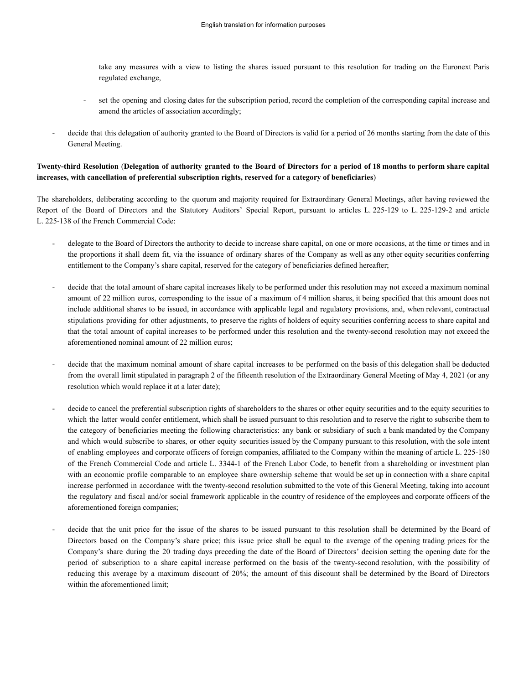take any measures with a view to listing the shares issued pursuant to this resolution for trading on the Euronext Paris regulated exchange,

- set the opening and closing dates for the subscription period, record the completion of the corresponding capital increase and amend the articles of association accordingly;
- decide that this delegation of authority granted to the Board of Directors is valid for a period of 26 months starting from the date of this General Meeting.

## Twenty-third Resolution (Delegation of authority granted to the Board of Directors for a period of 18 months to perform share capital **increases, with cancellation of preferential subscription rights, reserved for a category of beneficiaries**)

The shareholders, deliberating according to the quorum and majority required for Extraordinary General Meetings, after having reviewed the Report of the Board of Directors and the Statutory Auditors' Special Report, pursuant to articles L. 225-129 to L. 225-129-2 and article L. 225-138 of the French Commercial Code:

- delegate to the Board of Directors the authority to decide to increase share capital, on one or more occasions, at the time or times and in the proportions it shall deem fit, via the issuance of ordinary shares of the Company as well as any other equity securities conferring entitlement to the Company's share capital, reserved for the category of beneficiaries defined hereafter;
- decide that the total amount of share capital increases likely to be performed under this resolution may not exceed a maximum nominal amount of 22 million euros, corresponding to the issue of a maximum of 4 million shares, it being specified that this amount does not include additional shares to be issued, in accordance with applicable legal and regulatory provisions, and, when relevant, contractual stipulations providing for other adjustments, to preserve the rights of holders of equity securities conferring access to share capital and that the total amount of capital increases to be performed under this resolution and the twenty-second resolution may not exceed the aforementioned nominal amount of 22 million euros;
- decide that the maximum nominal amount of share capital increases to be performed on the basis of this delegation shall be deducted from the overall limit stipulated in paragraph 2 of the fifteenth resolution of the Extraordinary General Meeting of May 4, 2021 (or any resolution which would replace it at a later date);
- decide to cancel the preferential subscription rights of shareholders to the shares or other equity securities and to the equity securities to which the latter would confer entitlement, which shall be issued pursuant to this resolution and to reserve the right to subscribe them to the category of beneficiaries meeting the following characteristics: any bank or subsidiary of such a bank mandated by the Company and which would subscribe to shares, or other equity securities issued by the Company pursuant to this resolution, with the sole intent of enabling employees and corporate officers of foreign companies, affiliated to the Company within the meaning of article L. 225-180 of the French Commercial Code and article L. 3344-1 of the French Labor Code, to benefit from a shareholding or investment plan with an economic profile comparable to an employee share ownership scheme that would be set up in connection with a share capital increase performed in accordance with the twenty-second resolution submitted to the vote of this General Meeting, taking into account the regulatory and fiscal and/or social framework applicable in the country of residence of the employees and corporate officers of the aforementioned foreign companies;
- decide that the unit price for the issue of the shares to be issued pursuant to this resolution shall be determined by the Board of Directors based on the Company's share price; this issue price shall be equal to the average of the opening trading prices for the Company's share during the 20 trading days preceding the date of the Board of Directors' decision setting the opening date for the period of subscription to a share capital increase performed on the basis of the twenty-second resolution, with the possibility of reducing this average by a maximum discount of 20%; the amount of this discount shall be determined by the Board of Directors within the aforementioned limit;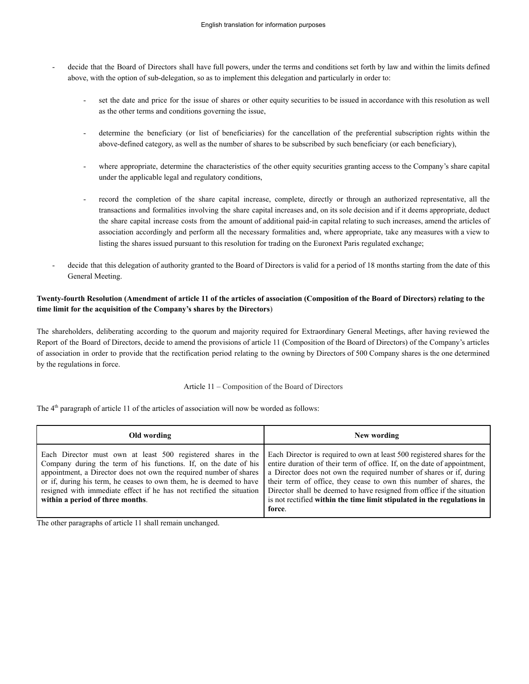- decide that the Board of Directors shall have full powers, under the terms and conditions set forth by law and within the limits defined above, with the option of sub-delegation, so as to implement this delegation and particularly in order to:
	- set the date and price for the issue of shares or other equity securities to be issued in accordance with this resolution as well as the other terms and conditions governing the issue,
	- determine the beneficiary (or list of beneficiaries) for the cancellation of the preferential subscription rights within the above-defined category, as well as the number of shares to be subscribed by such beneficiary (or each beneficiary),
	- where appropriate, determine the characteristics of the other equity securities granting access to the Company's share capital under the applicable legal and regulatory conditions,
	- record the completion of the share capital increase, complete, directly or through an authorized representative, all the transactions and formalities involving the share capital increases and, on its sole decision and if it deems appropriate, deduct the share capital increase costs from the amount of additional paid-in capital relating to such increases, amend the articles of association accordingly and perform all the necessary formalities and, where appropriate, take any measures with a view to listing the shares issued pursuant to this resolution for trading on the Euronext Paris regulated exchange;
- decide that this delegation of authority granted to the Board of Directors is valid for a period of 18 months starting from the date of this General Meeting.

## **Twenty-fourth Resolution (Amendment of article 11 of the articles of association (Composition of the Board of Directors) relating to the time limit for the acquisition of the Company's shares by the Directors**)

The shareholders, deliberating according to the quorum and majority required for Extraordinary General Meetings, after having reviewed the Report of the Board of Directors, decide to amend the provisions of article 11 (Composition of the Board of Directors) of the Company's articles of association in order to provide that the rectification period relating to the owning by Directors of 500 Company shares is the one determined by the regulations in force.

Article 11 – Composition of the Board of Directors

The 4<sup>th</sup> paragraph of article 11 of the articles of association will now be worded as follows:

| Old wording                                                                                                                                                                                                                                                                                                                                                                               | New wording                                                                                                                                                                                                                                                                                                                                                                                                                                                     |
|-------------------------------------------------------------------------------------------------------------------------------------------------------------------------------------------------------------------------------------------------------------------------------------------------------------------------------------------------------------------------------------------|-----------------------------------------------------------------------------------------------------------------------------------------------------------------------------------------------------------------------------------------------------------------------------------------------------------------------------------------------------------------------------------------------------------------------------------------------------------------|
| Each Director must own at least 500 registered shares in the<br>Company during the term of his functions. If, on the date of his<br>appointment, a Director does not own the required number of shares<br>or if, during his term, he ceases to own them, he is deemed to have<br>resigned with immediate effect if he has not rectified the situation<br>within a period of three months. | Each Director is required to own at least 500 registered shares for the<br>entire duration of their term of office. If, on the date of appointment,<br>a Director does not own the required number of shares or if, during<br>their term of office, they cease to own this number of shares, the<br>Director shall be deemed to have resigned from office if the situation<br>is not rectified within the time limit stipulated in the regulations in<br>force. |

The other paragraphs of article 11 shall remain unchanged.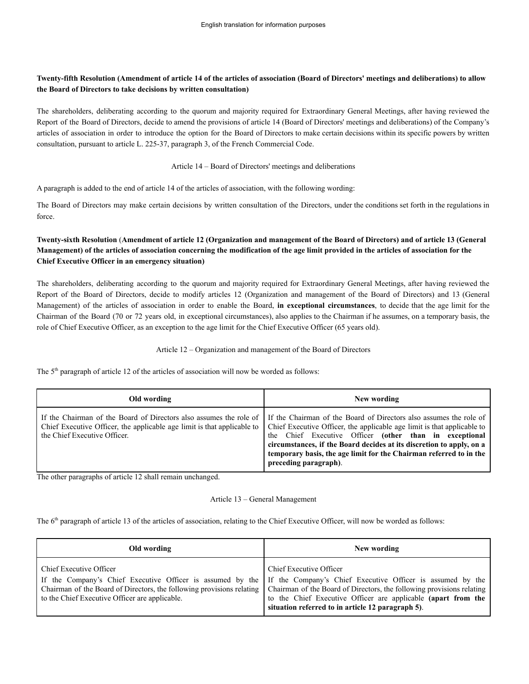## **Twenty-fifth Resolution (Amendment of article 14 of the articles of association (Board of Directors' meetings and deliberations) to allow the Board of Directors to take decisions by written consultation)**

The shareholders, deliberating according to the quorum and majority required for Extraordinary General Meetings, after having reviewed the Report of the Board of Directors, decide to amend the provisions of article 14 (Board of Directors' meetings and deliberations) of the Company's articles of association in order to introduce the option for the Board of Directors to make certain decisions within its specific powers by written consultation, pursuant to article L. 225-37, paragraph 3, of the French Commercial Code.

### Article 14 – Board of Directors' meetings and deliberations

A paragraph is added to the end of article 14 of the articles of association, with the following wording:

The Board of Directors may make certain decisions by written consultation of the Directors, under the conditions set forth in the regulations in force.

# **Twenty-sixth Resolution** (**Amendment of article 12 (Organization and management of the Board of Directors) and of article 13 (General Management) of the articles of association concerning the modification of the age limit provided in the articles of association for the Chief Executive Officer in an emergency situation)**

The shareholders, deliberating according to the quorum and majority required for Extraordinary General Meetings, after having reviewed the Report of the Board of Directors, decide to modify articles 12 (Organization and management of the Board of Directors) and 13 (General Management) of the articles of association in order to enable the Board, **in exceptional circumstances**, to decide that the age limit for the Chairman of the Board (70 or 72 years old, in exceptional circumstances), also applies to the Chairman if he assumes, on a temporary basis, the role of Chief Executive Officer, as an exception to the age limit for the Chief Executive Officer (65 years old).

### Article 12 – Organization and management of the Board of Directors

The  $5<sup>th</sup>$  paragraph of article 12 of the articles of association will now be worded as follows:

| Old wording                                                                                                                                                                   | New wording                                                                                                                                                                                                                                                                                                                                                                    |
|-------------------------------------------------------------------------------------------------------------------------------------------------------------------------------|--------------------------------------------------------------------------------------------------------------------------------------------------------------------------------------------------------------------------------------------------------------------------------------------------------------------------------------------------------------------------------|
| If the Chairman of the Board of Directors also assumes the role of<br>Chief Executive Officer, the applicable age limit is that applicable to<br>the Chief Executive Officer. | If the Chairman of the Board of Directors also assumes the role of<br>Chief Executive Officer, the applicable age limit is that applicable to<br>the Chief Executive Officer (other than in exceptional<br>circumstances, if the Board decides at its discretion to apply, on a<br>temporary basis, the age limit for the Chairman referred to in the<br>preceding paragraph). |

The other paragraphs of article 12 shall remain unchanged.

### Article 13 – General Management

The 6<sup>th</sup> paragraph of article 13 of the articles of association, relating to the Chief Executive Officer, will now be worded as follows:

| Old wording                                                                                                                                                                                                                                                                                                                                                | New wording                                                                                                                                   |
|------------------------------------------------------------------------------------------------------------------------------------------------------------------------------------------------------------------------------------------------------------------------------------------------------------------------------------------------------------|-----------------------------------------------------------------------------------------------------------------------------------------------|
| <b>Chief Executive Officer</b><br>If the Company's Chief Executive Officer is assumed by the If the Company's Chief Executive Officer is assumed by the<br>Chairman of the Board of Directors, the following provisions relating   Chairman of the Board of Directors, the following provisions relating<br>to the Chief Executive Officer are applicable. | Chief Executive Officer<br>to the Chief Executive Officer are applicable (apart from the<br>situation referred to in article 12 paragraph 5). |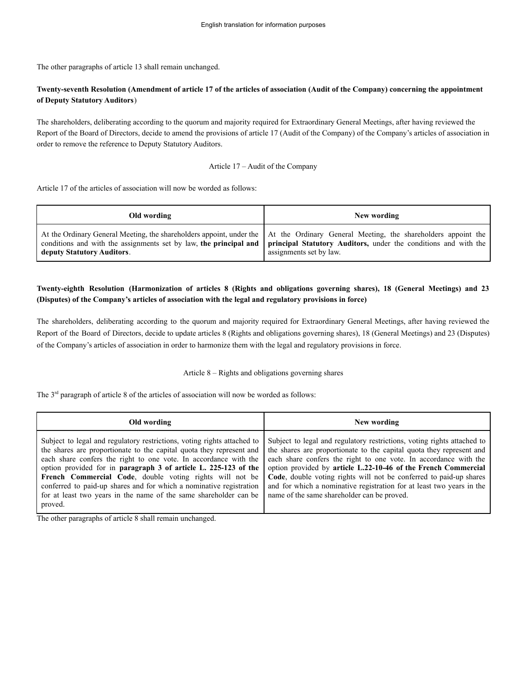The other paragraphs of article 13 shall remain unchanged.

## **Twenty-seventh Resolution (Amendment of article 17 of the articles of association (Audit of the Company) concerning the appointment of Deputy Statutory Auditors**)

The shareholders, deliberating according to the quorum and majority required for Extraordinary General Meetings, after having reviewed the Report of the Board of Directors, decide to amend the provisions of article 17 (Audit of the Company) of the Company's articles of association in order to remove the reference to Deputy Statutory Auditors.

### Article 17 – Audit of the Company

Article 17 of the articles of association will now be worded as follows:

| Old wording                | New wording                                                                                                                                                                                                                                                                                          |
|----------------------------|------------------------------------------------------------------------------------------------------------------------------------------------------------------------------------------------------------------------------------------------------------------------------------------------------|
| deputy Statutory Auditors. | At the Ordinary General Meeting, the shareholders appoint, under the At the Ordinary General Meeting, the shareholders appoint the<br>conditions and with the assignments set by law, the principal and   principal Statutory Auditors, under the conditions and with the<br>assignments set by law. |

## Twenty-eighth Resolution (Harmonization of articles 8 (Rights and obligations governing shares), 18 (General Meetings) and 23 **(Disputes) of the Company's articles of association with the legal and regulatory provisions in force)**

The shareholders, deliberating according to the quorum and majority required for Extraordinary General Meetings, after having reviewed the Report of the Board of Directors, decide to update articles 8 (Rights and obligations governing shares), 18 (General Meetings) and 23 (Disputes) of the Company's articles of association in order to harmonize them with the legal and regulatory provisions in force.

### Article 8 – Rights and obligations governing shares

The 3<sup>rd</sup> paragraph of article 8 of the articles of association will now be worded as follows:

| Old wording                                                                                                                                                                                                                                                                                                                                                                                                                                                                                               | New wording                                                                                                                                                                                                                                                                                                                                                                                                                                                                         |
|-----------------------------------------------------------------------------------------------------------------------------------------------------------------------------------------------------------------------------------------------------------------------------------------------------------------------------------------------------------------------------------------------------------------------------------------------------------------------------------------------------------|-------------------------------------------------------------------------------------------------------------------------------------------------------------------------------------------------------------------------------------------------------------------------------------------------------------------------------------------------------------------------------------------------------------------------------------------------------------------------------------|
| Subject to legal and regulatory restrictions, voting rights attached to<br>the shares are proportionate to the capital quota they represent and<br>each share confers the right to one vote. In accordance with the<br>option provided for in paragraph 3 of article L. 225-123 of the<br>French Commercial Code, double voting rights will not be<br>conferred to paid-up shares and for which a nominative registration<br>for at least two years in the name of the same shareholder can be<br>proved. | Subject to legal and regulatory restrictions, voting rights attached to<br>the shares are proportionate to the capital quota they represent and<br>each share confers the right to one vote. In accordance with the<br>option provided by article L.22-10-46 of the French Commercial<br>Code, double voting rights will not be conferred to paid-up shares<br>and for which a nominative registration for at least two years in the<br>name of the same shareholder can be proved. |

The other paragraphs of article 8 shall remain unchanged.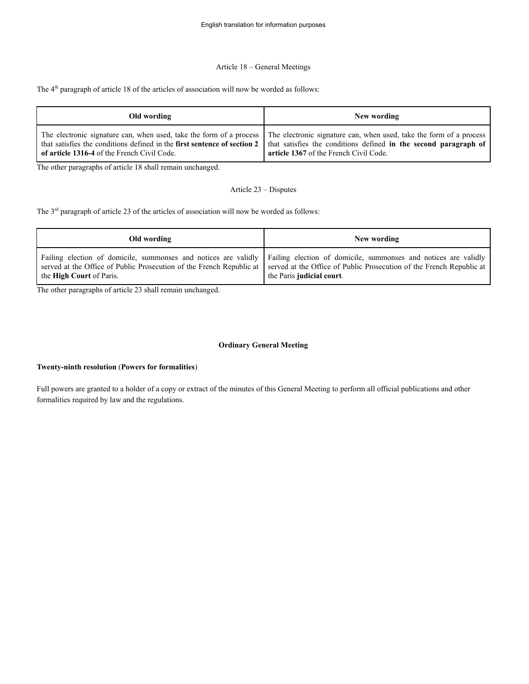### Article 18 – General Meetings

The  $4<sup>th</sup>$  paragraph of article 18 of the articles of association will now be worded as follows:

| Old wording                                                                                                             | New wording                                                                                                                                                                                                                                           |
|-------------------------------------------------------------------------------------------------------------------------|-------------------------------------------------------------------------------------------------------------------------------------------------------------------------------------------------------------------------------------------------------|
| that satisfies the conditions defined in the first sentence of section 2<br>of article 1316-4 of the French Civil Code. | The electronic signature can, when used, take the form of a process The electronic signature can, when used, take the form of a process<br>that satisfies the conditions defined in the second paragraph of<br>article 1367 of the French Civil Code. |

The other paragraphs of article 18 shall remain unchanged.

### Article 23 – Disputes

The 3<sup>rd</sup> paragraph of article 23 of the articles of association will now be worded as follows:

| Old wording                     | New wording                                                                                                                                                                                                                                                                                                   |
|---------------------------------|---------------------------------------------------------------------------------------------------------------------------------------------------------------------------------------------------------------------------------------------------------------------------------------------------------------|
| the <b>High Court</b> of Paris. | Failing election of domicile, summonses and notices are validly   Failing election of domicile, summonses and notices are validly<br>served at the Office of Public Prosecution of the French Republic at   served at the Office of Public Prosecution of the French Republic at<br>the Paris judicial court. |

The other paragraphs of article 23 shall remain unchanged.

### **Ordinary General Meeting**

#### **Twenty-ninth resolution** (**Powers for formalities**)

Full powers are granted to a holder of a copy or extract of the minutes of this General Meeting to perform all official publications and other formalities required by law and the regulations.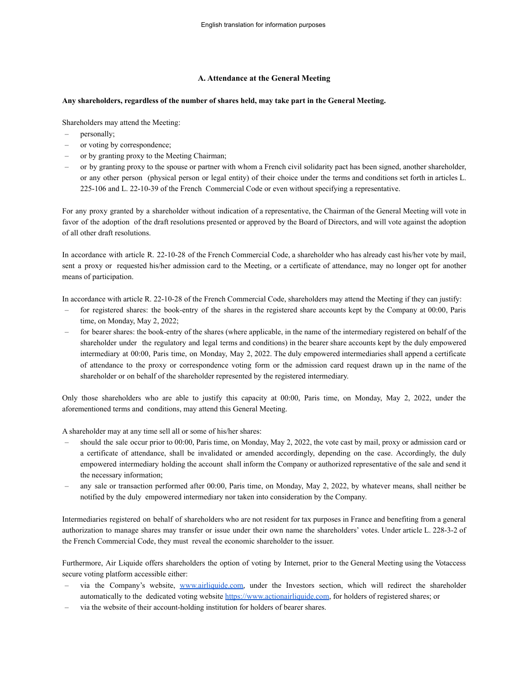### **A. Attendance at the General Meeting**

### **Any shareholders, regardless of the number of shares held, may take part in the General Meeting.**

Shareholders may attend the Meeting:

- personally;
- or voting by correspondence;
- or by granting proxy to the Meeting Chairman;
- or by granting proxy to the spouse or partner with whom a French civil solidarity pact has been signed, another shareholder, or any other person (physical person or legal entity) of their choice under the terms and conditions set forth in articles L. 225-106 and L. 22-10-39 of the French Commercial Code or even without specifying a representative.

For any proxy granted by a shareholder without indication of a representative, the Chairman of the General Meeting will vote in favor of the adoption of the draft resolutions presented or approved by the Board of Directors, and will vote against the adoption of all other draft resolutions.

In accordance with article R. 22-10-28 of the French Commercial Code, a shareholder who has already cast his/her vote by mail, sent a proxy or requested his/her admission card to the Meeting, or a certificate of attendance, may no longer opt for another means of participation.

In accordance with article R. 22-10-28 of the French Commercial Code, shareholders may attend the Meeting if they can justify:

- for registered shares: the book-entry of the shares in the registered share accounts kept by the Company at 00:00, Paris time, on Monday, May 2, 2022;
- for bearer shares: the book-entry of the shares (where applicable, in the name of the intermediary registered on behalf of the shareholder under the regulatory and legal terms and conditions) in the bearer share accounts kept by the duly empowered intermediary at 00:00, Paris time, on Monday, May 2, 2022. The duly empowered intermediaries shall append a certificate of attendance to the proxy or correspondence voting form or the admission card request drawn up in the name of the shareholder or on behalf of the shareholder represented by the registered intermediary.

Only those shareholders who are able to justify this capacity at 00:00, Paris time, on Monday, May 2, 2022, under the aforementioned terms and conditions, may attend this General Meeting.

A shareholder may at any time sell all or some of his/her shares:

- should the sale occur prior to 00:00, Paris time, on Monday, May 2, 2022, the vote cast by mail, proxy or admission card or a certificate of attendance, shall be invalidated or amended accordingly, depending on the case. Accordingly, the duly empowered intermediary holding the account shall inform the Company or authorized representative of the sale and send it the necessary information;
- any sale or transaction performed after 00:00, Paris time, on Monday, May 2, 2022, by whatever means, shall neither be notified by the duly empowered intermediary nor taken into consideration by the Company.

Intermediaries registered on behalf of shareholders who are not resident for tax purposes in France and benefiting from a general authorization to manage shares may transfer or issue under their own name the shareholders' votes. Under article L. 228-3-2 of the French Commercial Code, they must reveal the economic shareholder to the issuer.

Furthermore, Air Liquide offers shareholders the option of voting by Internet, prior to the General Meeting using the Votaccess secure voting platform accessible either:

- via the Company's website, [www.airliquide.com,](http://www.airliquide.com) under the Investors section, which will redirect the shareholder automatically to the dedicated voting website <https://www.actionairliquide.com>, for holders of registered shares; or
- via the website of their account-holding institution for holders of bearer shares.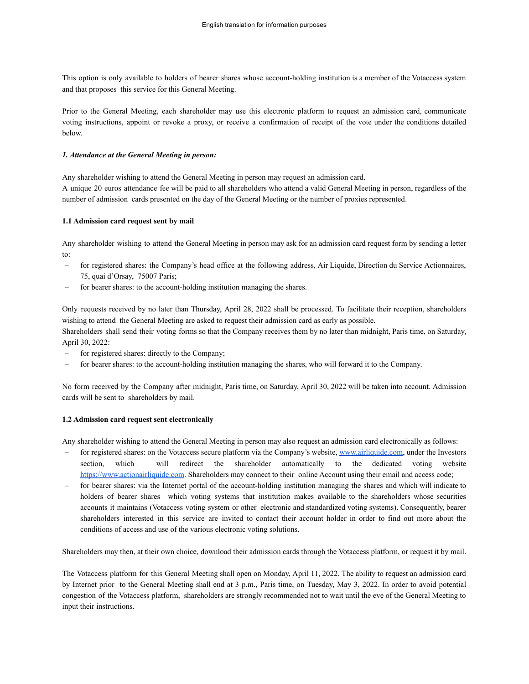This option is only available to holders of bearer shares whose account-holding institution is a member of the Votaccess system and that proposes this service for this General Meeting.

Prior to the General Meeting, each shareholder may use this electronic platform to request an admission card, communicate voting instructions, appoint or revoke a proxy, or receive a confirmation of receipt of the vote under the conditions detailed below.

#### *1. Attendance at the General Meeting in person:*

Any shareholder wishing to attend the General Meeting in person may request an admission card.

A unique 20 euros attendance fee will be paid to all shareholders who attend a valid General Meeting in person, regardless of the number of admission cards presented on the day of the General Meeting or the number of proxies represented.

#### **1.1 Admission card request sent by mail**

Any shareholder wishing to attend the General Meeting in person may ask for an admission card request form by sending a letter to:

- for registered shares: the Company's head office at the following address, Air Liquide, Direction du Service Actionnaires, 75, quai d'Orsay, 75007 Paris;
- for bearer shares: to the account-holding institution managing the shares.

Only requests received by no later than Thursday, April 28, 2022 shall be processed. To facilitate their reception, shareholders wishing to attend the General Meeting are asked to request their admission card as early as possible.

Shareholders shall send their voting forms so that the Company receives them by no later than midnight, Paris time, on Saturday, April 30, 2022:

- for registered shares: directly to the Company;
- for bearer shares: to the account-holding institution managing the shares, who will forward it to the Company.

No form received by the Company after midnight, Paris time, on Saturday, April 30, 2022 will be taken into account. Admission cards will be sent to shareholders by mail.

#### **1.2 Admission card request sent electronically**

Any shareholder wishing to attend the General Meeting in person may also request an admission card electronically as follows:

- for registered shares: on the Votaccess secure platform via the Company's website, [www.airliquide.com](http://www.airliquide.com), under the Investors section, which will redirect the shareholder automatically to the dedicated voting website <https://www.actionairliquide.com>. Shareholders may connect to their online Account using their email and access code;
- for bearer shares: via the Internet portal of the account-holding institution managing the shares and which will indicate to holders of bearer shares which voting systems that institution makes available to the shareholders whose securities accounts it maintains (Votaccess voting system or other electronic and standardized voting systems). Consequently, bearer shareholders interested in this service are invited to contact their account holder in order to find out more about the conditions of access and use of the various electronic voting solutions.

Shareholders may then, at their own choice, download their admission cards through the Votaccess platform, or request it by mail.

The Votaccess platform for this General Meeting shall open on Monday, April 11, 2022. The ability to request an admission card by Internet prior to the General Meeting shall end at 3 p.m., Paris time, on Tuesday, May 3, 2022. In order to avoid potential congestion of the Votaccess platform, shareholders are strongly recommended not to wait until the eve of the General Meeting to input their instructions.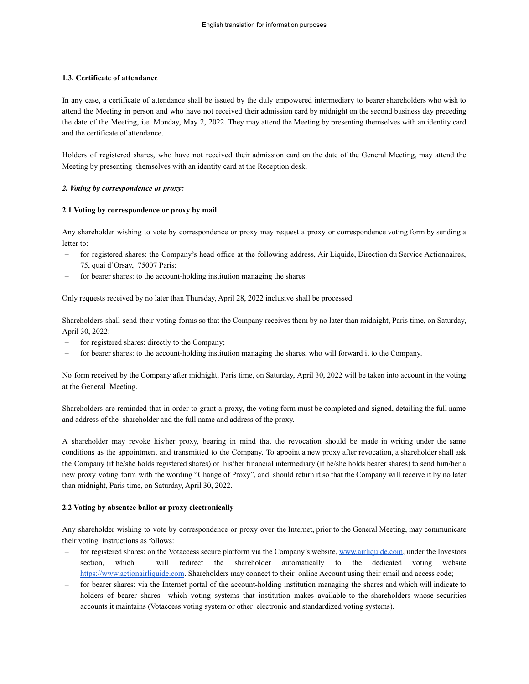### **1.3. Certificate of attendance**

In any case, a certificate of attendance shall be issued by the duly empowered intermediary to bearer shareholders who wish to attend the Meeting in person and who have not received their admission card by midnight on the second business day preceding the date of the Meeting, i.e. Monday, May 2, 2022. They may attend the Meeting by presenting themselves with an identity card and the certificate of attendance.

Holders of registered shares, who have not received their admission card on the date of the General Meeting, may attend the Meeting by presenting themselves with an identity card at the Reception desk.

#### *2. Voting by correspondence or proxy:*

#### **2.1 Voting by correspondence or proxy by mail**

Any shareholder wishing to vote by correspondence or proxy may request a proxy or correspondence voting form by sending a letter to:

- for registered shares: the Company's head office at the following address, Air Liquide, Direction du Service Actionnaires, 75, quai d'Orsay, 75007 Paris;
- for bearer shares: to the account-holding institution managing the shares.

Only requests received by no later than Thursday, April 28, 2022 inclusive shall be processed.

Shareholders shall send their voting forms so that the Company receives them by no later than midnight, Paris time, on Saturday, April 30, 2022:

- for registered shares: directly to the Company;
- for bearer shares: to the account-holding institution managing the shares, who will forward it to the Company.

No form received by the Company after midnight, Paris time, on Saturday, April 30, 2022 will be taken into account in the voting at the General Meeting.

Shareholders are reminded that in order to grant a proxy, the voting form must be completed and signed, detailing the full name and address of the shareholder and the full name and address of the proxy.

A shareholder may revoke his/her proxy, bearing in mind that the revocation should be made in writing under the same conditions as the appointment and transmitted to the Company. To appoint a new proxy after revocation, a shareholder shall ask the Company (if he/she holds registered shares) or his/her financial intermediary (if he/she holds bearer shares) to send him/her a new proxy voting form with the wording "Change of Proxy", and should return it so that the Company will receive it by no later than midnight, Paris time, on Saturday, April 30, 2022.

### **2.2 Voting by absentee ballot or proxy electronically**

Any shareholder wishing to vote by correspondence or proxy over the Internet, prior to the General Meeting, may communicate their voting instructions as follows:

- for registered shares: on the Votaccess secure platform via the Company's website, [www.airliquide.com](http://www.airliquide.com), under the Investors section, which will redirect the shareholder automatically to the dedicated voting website <https://www.actionairliquide.com>. Shareholders may connect to their online Account using their email and access code;
- for bearer shares: via the Internet portal of the account-holding institution managing the shares and which will indicate to holders of bearer shares which voting systems that institution makes available to the shareholders whose securities accounts it maintains (Votaccess voting system or other electronic and standardized voting systems).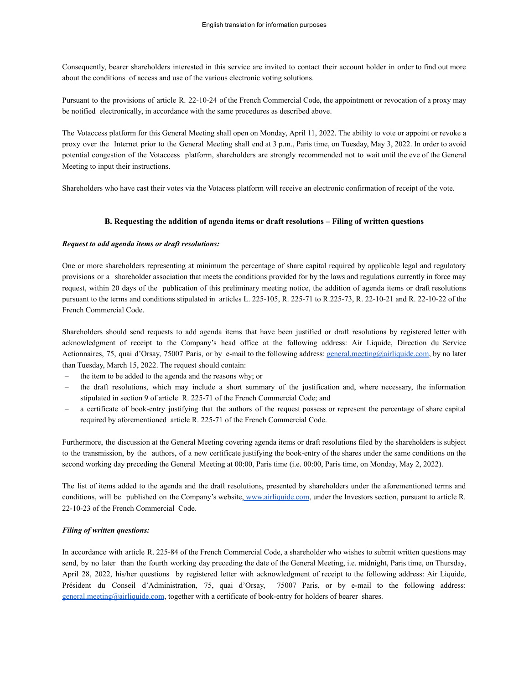Consequently, bearer shareholders interested in this service are invited to contact their account holder in order to find out more about the conditions of access and use of the various electronic voting solutions.

Pursuant to the provisions of article R. 22-10-24 of the French Commercial Code, the appointment or revocation of a proxy may be notified electronically, in accordance with the same procedures as described above.

The Votaccess platform for this General Meeting shall open on Monday, April 11, 2022. The ability to vote or appoint or revoke a proxy over the Internet prior to the General Meeting shall end at 3 p.m., Paris time, on Tuesday, May 3, 2022. In order to avoid potential congestion of the Votaccess platform, shareholders are strongly recommended not to wait until the eve of the General Meeting to input their instructions.

Shareholders who have cast their votes via the Votacess platform will receive an electronic confirmation of receipt of the vote.

### **B. Requesting the addition of agenda items or draft resolutions – Filing of written questions**

#### *Request to add agenda items or draft resolutions:*

One or more shareholders representing at minimum the percentage of share capital required by applicable legal and regulatory provisions or a shareholder association that meets the conditions provided for by the laws and regulations currently in force may request, within 20 days of the publication of this preliminary meeting notice, the addition of agenda items or draft resolutions pursuant to the terms and conditions stipulated in articles L. 225-105, R. 225-71 to R.225-73, R. 22-10-21 and R. 22-10-22 of the French Commercial Code.

Shareholders should send requests to add agenda items that have been justified or draft resolutions by registered letter with acknowledgment of receipt to the Company's head office at the following address: Air Liquide, Direction du Service Actionnaires, 75, quai d'Orsay, 75007 Paris, or by e-mail to the following address: [general.meeting@airliquide.com,](mailto:general.meeting@airliquide.com) by no later than Tuesday, March 15, 2022. The request should contain:

- the item to be added to the agenda and the reasons why; or
- the draft resolutions, which may include a short summary of the justification and, where necessary, the information stipulated in section 9 of article R. 225-71 of the French Commercial Code; and
- a certificate of book-entry justifying that the authors of the request possess or represent the percentage of share capital required by aforementioned article R. 225-71 of the French Commercial Code.

Furthermore, the discussion at the General Meeting covering agenda items or draft resolutions filed by the shareholders is subject to the transmission, by the authors, of a new certificate justifying the book-entry of the shares under the same conditions on the second working day preceding the General Meeting at 00:00, Paris time (i.e. 00:00, Paris time, on Monday, May 2, 2022).

The list of items added to the agenda and the draft resolutions, presented by shareholders under the aforementioned terms and conditions, will be published on the Company's website, [www.airliquide.com](http://www.airliquide.com), under the Investors section, pursuant to article R. 22-10-23 of the French Commercial Code.

### *Filing of written questions:*

In accordance with article R. 225-84 of the French Commercial Code, a shareholder who wishes to submit written questions may send, by no later than the fourth working day preceding the date of the General Meeting, i.e. midnight, Paris time, on Thursday, April 28, 2022, his/her questions by registered letter with acknowledgment of receipt to the following address: Air Liquide, Président du Conseil d'Administration, 75, quai d'Orsay, 75007 Paris, or by e-mail to the following address: [general.meeting@airliquide.com](mailto:general.meeting@airliquide.com), together with a certificate of book-entry for holders of bearer shares.